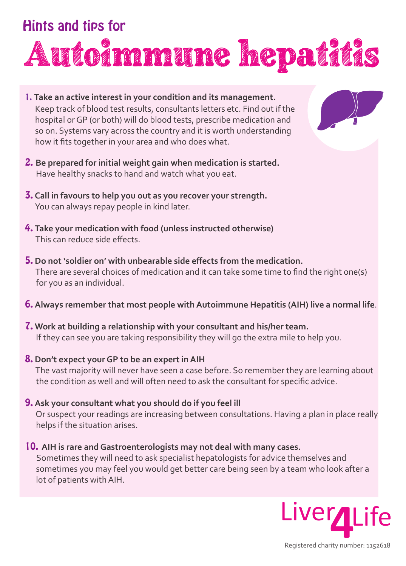# Hints and tips for Autoimmune hepatitis

- 1. **Take an active interest in your condition and its management.**  Keep track of blood test results, consultants letters etc. Find out if the hospital or GP (or both) will do blood tests, prescribe medication and so on. Systems vary across the country and it is worth understanding how it fits together in your area and who does what.
- 2. **Be prepared for initial weight gain when medication is started.**  Have healthy snacks to hand and watch what you eat.
- 3. **Call in favours to help you out as you recover your strength.** You can always repay people in kind later.
- 4. **Take your medication with food (unless instructed otherwise)** This can reduce side effects.
- 5. **Do not 'soldier on' with unbearable side effects from the medication.**  There are several choices of medication and it can take some time to find the right one(s) for you as an individual.
- 6. **Always remember that most people with Autoimmune Hepatitis (AIH) live a normal life**.
- 7. **Work at building a relationship with your consultant and his/her team.** If they can see you are taking responsibility they will go the extra mile to help you.
- 8. **Don't expect your GP to be an expert in AIH** The vast majority will never have seen a case before. So remember they are learning about the condition as well and will often need to ask the consultant for specific advice.
- 9. **Ask your consultant what you should do if you feel ill**

 Or suspect your readings are increasing between consultations. Having a plan in place really helps if the situation arises.

10. **AIH is rare and Gastroenterologists may not deal with many cases.** 

Sometimes they will need to ask specialist hepatologists for advice themselves and sometimes you may feel you would get better care being seen by a team who look after a lot of patients with AIH.